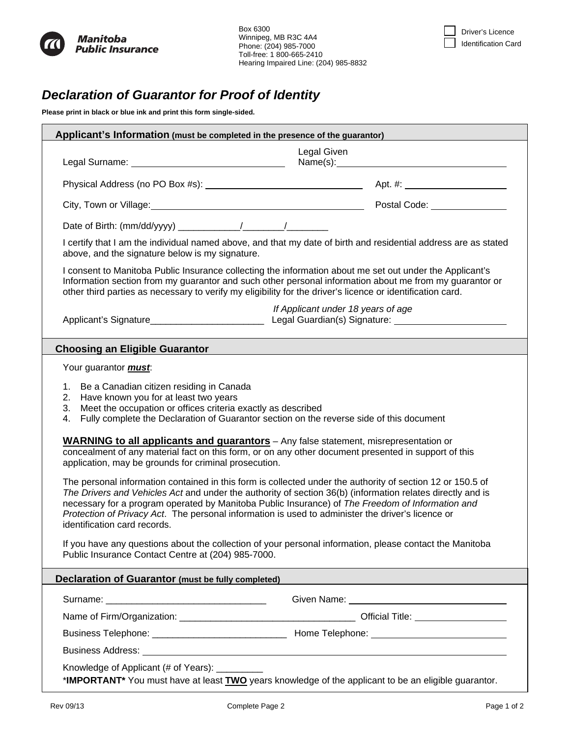



## *Declaration of Guarantor for Proof of Identity*

**Please print in black or blue ink and print this form single-sided.** 

| Applicant's Information (must be completed in the presence of the guarantor)                                                                                                                                                                                                                                                                                                                                                                                                                                                                                                                                                        |                                    |  |  |  |  |
|-------------------------------------------------------------------------------------------------------------------------------------------------------------------------------------------------------------------------------------------------------------------------------------------------------------------------------------------------------------------------------------------------------------------------------------------------------------------------------------------------------------------------------------------------------------------------------------------------------------------------------------|------------------------------------|--|--|--|--|
| Legal Given<br>Name(s):                                                                                                                                                                                                                                                                                                                                                                                                                                                                                                                                                                                                             |                                    |  |  |  |  |
|                                                                                                                                                                                                                                                                                                                                                                                                                                                                                                                                                                                                                                     |                                    |  |  |  |  |
|                                                                                                                                                                                                                                                                                                                                                                                                                                                                                                                                                                                                                                     |                                    |  |  |  |  |
| City, Town or Village: 1990 City, Town or Village: 1991 Collection Content Code: 2008 Code: 2009 City, Town or                                                                                                                                                                                                                                                                                                                                                                                                                                                                                                                      |                                    |  |  |  |  |
|                                                                                                                                                                                                                                                                                                                                                                                                                                                                                                                                                                                                                                     |                                    |  |  |  |  |
| I certify that I am the individual named above, and that my date of birth and residential address are as stated<br>above, and the signature below is my signature.                                                                                                                                                                                                                                                                                                                                                                                                                                                                  |                                    |  |  |  |  |
| I consent to Manitoba Public Insurance collecting the information about me set out under the Applicant's<br>Information section from my guarantor and such other personal information about me from my guarantor or<br>other third parties as necessary to verify my eligibility for the driver's licence or identification card.                                                                                                                                                                                                                                                                                                   |                                    |  |  |  |  |
|                                                                                                                                                                                                                                                                                                                                                                                                                                                                                                                                                                                                                                     | If Applicant under 18 years of age |  |  |  |  |
| <b>Choosing an Eligible Guarantor</b>                                                                                                                                                                                                                                                                                                                                                                                                                                                                                                                                                                                               |                                    |  |  |  |  |
| Your guarantor <i>must</i> .                                                                                                                                                                                                                                                                                                                                                                                                                                                                                                                                                                                                        |                                    |  |  |  |  |
| 1. Be a Canadian citizen residing in Canada<br>Have known you for at least two years<br>2.<br>Meet the occupation or offices criteria exactly as described<br>3.<br>Fully complete the Declaration of Guarantor section on the reverse side of this document<br>4.<br><b>WARNING to all applicants and guarantors</b> – Any false statement, misrepresentation or<br>concealment of any material fact on this form, or on any other document presented in support of this<br>application, may be grounds for criminal prosecution.                                                                                                  |                                    |  |  |  |  |
| The personal information contained in this form is collected under the authority of section 12 or 150.5 of<br>The Drivers and Vehicles Act and under the authority of section 36(b) (information relates directly and is<br>necessary for a program operated by Manitoba Public Insurance) of The Freedom of Information and<br>Protection of Privacy Act. The personal information is used to administer the driver's licence or<br>identification card records.<br>If you have any questions about the collection of your personal information, please contact the Manitoba<br>Public Insurance Contact Centre at (204) 985-7000. |                                    |  |  |  |  |
| <b>Declaration of Guarantor (must be fully completed)</b>                                                                                                                                                                                                                                                                                                                                                                                                                                                                                                                                                                           |                                    |  |  |  |  |
|                                                                                                                                                                                                                                                                                                                                                                                                                                                                                                                                                                                                                                     |                                    |  |  |  |  |
|                                                                                                                                                                                                                                                                                                                                                                                                                                                                                                                                                                                                                                     |                                    |  |  |  |  |
|                                                                                                                                                                                                                                                                                                                                                                                                                                                                                                                                                                                                                                     |                                    |  |  |  |  |
|                                                                                                                                                                                                                                                                                                                                                                                                                                                                                                                                                                                                                                     |                                    |  |  |  |  |
| Knowledge of Applicant (# of Years): __________<br>*IMPORTANT* You must have at least TWO years knowledge of the applicant to be an eligible guarantor.                                                                                                                                                                                                                                                                                                                                                                                                                                                                             |                                    |  |  |  |  |